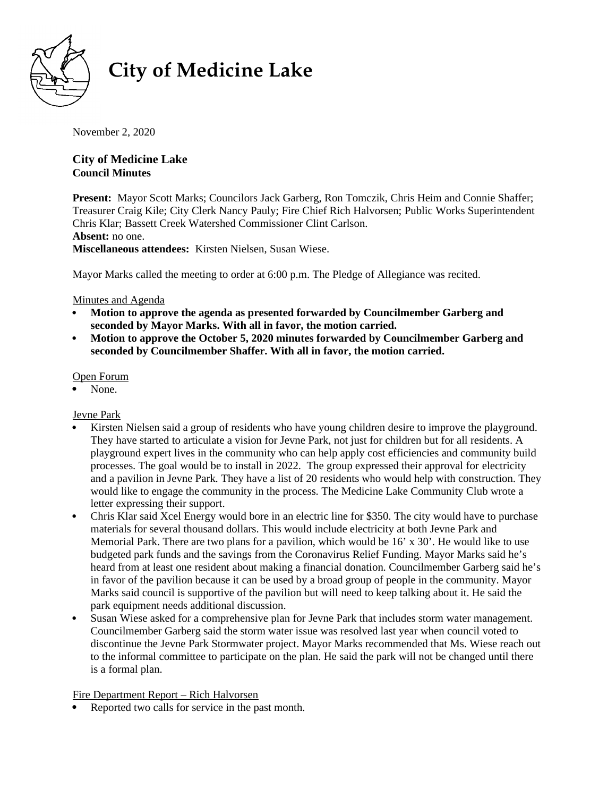

# **City of Medicine Lake**

November 2, 2020

# **City of Medicine Lake Council Minutes**

Present: Mayor Scott Marks; Councilors Jack Garberg, Ron Tomczik, Chris Heim and Connie Shaffer; Treasurer Craig Kile; City Clerk Nancy Pauly; Fire Chief Rich Halvorsen; Public Works Superintendent Chris Klar; Bassett Creek Watershed Commissioner Clint Carlson. **Absent:** no one. **Miscellaneous attendees:** Kirsten Nielsen, Susan Wiese.

Mayor Marks called the meeting to order at 6:00 p.m. The Pledge of Allegiance was recited.

# Minutes and Agenda

- **Motion to approve the agenda as presented forwarded by Councilmember Garberg and seconded by Mayor Marks. With all in favor, the motion carried.**
- **Motion to approve the October 5, 2020 minutes forwarded by Councilmember Garberg and seconded by Councilmember Shaffer. With all in favor, the motion carried.**

# Open Forum

None.

# Jevne Park

- Kirsten Nielsen said a group of residents who have young children desire to improve the playground. They have started to articulate a vision for Jevne Park, not just for children but for all residents. A playground expert lives in the community who can help apply cost efficiencies and community build processes. The goal would be to install in 2022. The group expressed their approval for electricity and a pavilion in Jevne Park. They have a list of 20 residents who would help with construction. They would like to engage the community in the process. The Medicine Lake Community Club wrote a letter expressing their support.
- Chris Klar said Xcel Energy would bore in an electric line for \$350. The city would have to purchase materials for several thousand dollars. This would include electricity at both Jevne Park and Memorial Park. There are two plans for a pavilion, which would be  $16'$  x  $30'$ . He would like to use budgeted park funds and the savings from the Coronavirus Relief Funding. Mayor Marks said he's heard from at least one resident about making a financial donation. Councilmember Garberg said he's in favor of the pavilion because it can be used by a broad group of people in the community. Mayor Marks said council is supportive of the pavilion but will need to keep talking about it. He said the park equipment needs additional discussion.
- Susan Wiese asked for a comprehensive plan for Jevne Park that includes storm water management. Councilmember Garberg said the storm water issue was resolved last year when council voted to discontinue the Jevne Park Stormwater project. Mayor Marks recommended that Ms. Wiese reach out to the informal committee to participate on the plan. He said the park will not be changed until there is a formal plan.

# Fire Department Report – Rich Halvorsen

Reported two calls for service in the past month.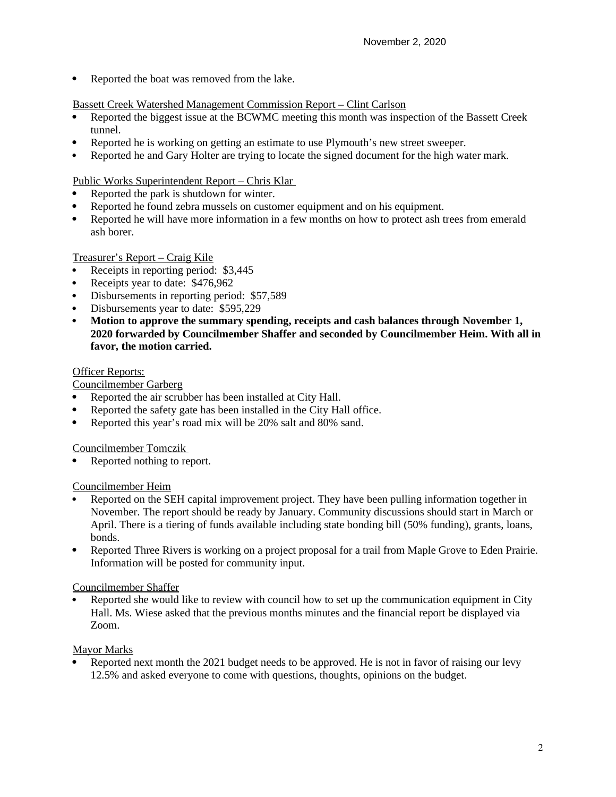• Reported the boat was removed from the lake.

## Bassett Creek Watershed Management Commission Report – Clint Carlson

- Reported the biggest issue at the BCWMC meeting this month was inspection of the Bassett Creek tunnel.
- Reported he is working on getting an estimate to use Plymouth's new street sweeper.
- Reported he and Gary Holter are trying to locate the signed document for the high water mark.

## Public Works Superintendent Report – Chris Klar

- Reported the park is shutdown for winter.
- Reported he found zebra mussels on customer equipment and on his equipment.
- Reported he will have more information in a few months on how to protect ash trees from emerald ash borer.

## Treasurer's Report – Craig Kile

- Receipts in reporting period: \$3,445
- Receipts year to date: \$476,962
- Disbursements in reporting period: \$57,589
- Disbursements year to date: \$595,229
- **Motion to approve the summary spending, receipts and cash balances through November 1, 2020 forwarded by Councilmember Shaffer and seconded by Councilmember Heim. With all in favor, the motion carried.**

## Officer Reports:

Councilmember Garberg

- Reported the air scrubber has been installed at City Hall.
- Reported the safety gate has been installed in the City Hall office.
- Reported this year's road mix will be 20% salt and 80% sand.

Councilmember Tomczik

Reported nothing to report.

#### Councilmember Heim

- Reported on the SEH capital improvement project. They have been pulling information together in November. The report should be ready by January. Community discussions should start in March or April. There is a tiering of funds available including state bonding bill (50% funding), grants, loans, bonds.
- Reported Three Rivers is working on a project proposal for a trail from Maple Grove to Eden Prairie. Information will be posted for community input.

#### Councilmember Shaffer

 Reported she would like to review with council how to set up the communication equipment in City Hall. Ms. Wiese asked that the previous months minutes and the financial report be displayed via Zoom.

#### Mayor Marks

 Reported next month the 2021 budget needs to be approved. He is not in favor of raising our levy 12.5% and asked everyone to come with questions, thoughts, opinions on the budget.